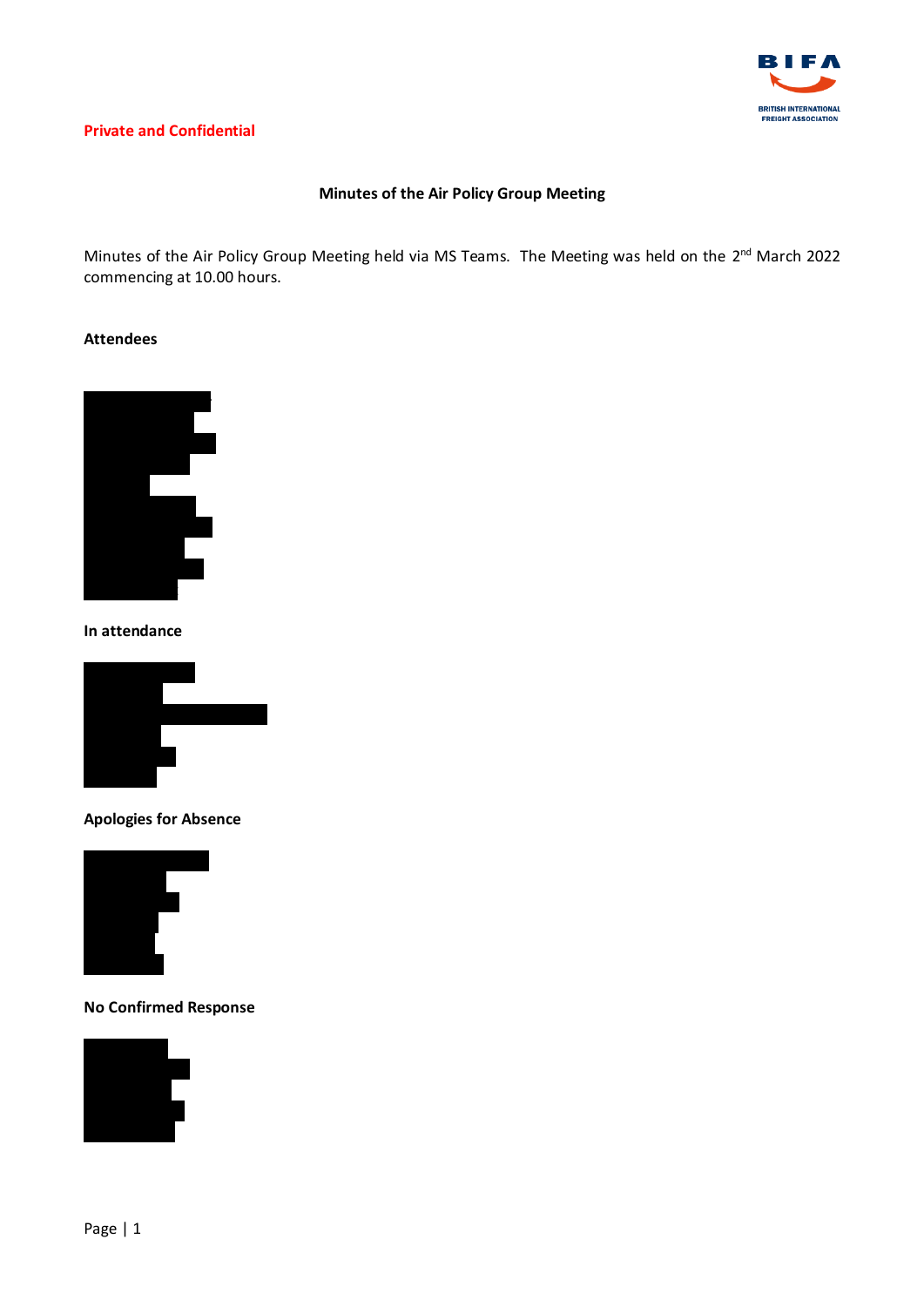

# **Private and Confidential**

# **Minutes of the Air Policy Group Meeting**

Minutes of the Air Policy Group Meeting held via MS Teams. The Meeting was held on the 2<sup>nd</sup> March 2022 commencing at 10.00 hours.

### **Attendees**



**In attendance** 



**Apologies for Absence**



**No Confirmed Response**

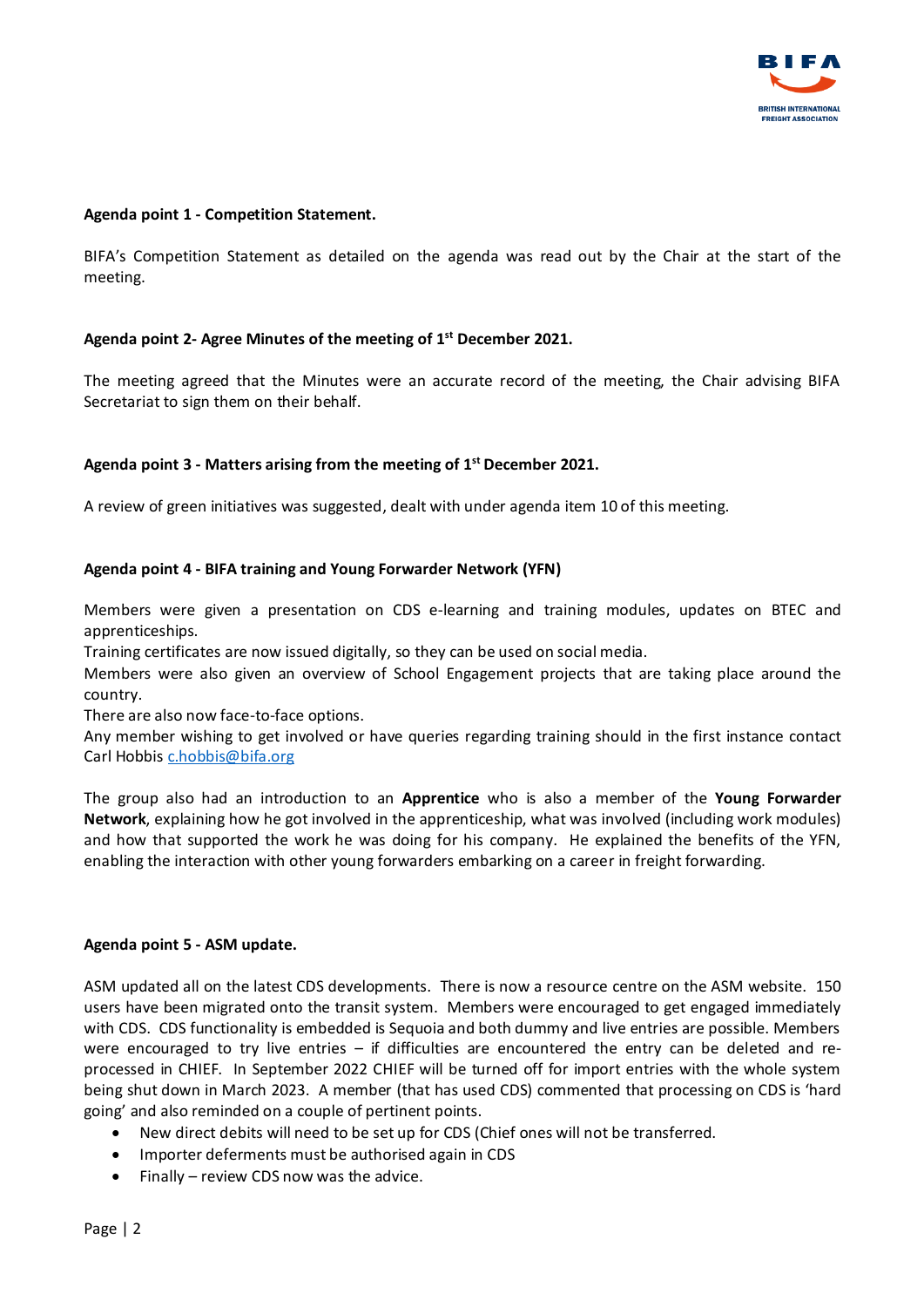

### **Agenda point 1 - Competition Statement.**

BIFA's Competition Statement as detailed on the agenda was read out by the Chair at the start of the meeting.

# **Agenda point 2- Agree Minutes of the meeting of 1 st December 2021.**

The meeting agreed that the Minutes were an accurate record of the meeting, the Chair advising BIFA Secretariat to sign them on their behalf.

## **Agenda point 3 - Matters arising from the meeting of 1 st December 2021.**

A review of green initiatives was suggested, dealt with under agenda item 10 of this meeting.

### **Agenda point 4 - BIFA training and Young Forwarder Network (YFN)**

Members were given a presentation on CDS e-learning and training modules, updates on BTEC and apprenticeships.

Training certificates are now issued digitally, so they can be used on social media.

Members were also given an overview of School Engagement projects that are taking place around the country.

There are also now face-to-face options.

Any member wishing to get involved or have queries regarding training should in the first instance contact Carl Hobbi[s c.hobbis@bifa.org](mailto:c.hobbis@bifa.org)

The group also had an introduction to an **Apprentice** who is also a member of the **Young Forwarder Network**, explaining how he got involved in the apprenticeship, what was involved (including work modules) and how that supported the work he was doing for his company. He explained the benefits of the YFN, enabling the interaction with other young forwarders embarking on a career in freight forwarding.

#### **Agenda point 5 - ASM update.**

ASM updated all on the latest CDS developments. There is now a resource centre on the ASM website. 150 users have been migrated onto the transit system. Members were encouraged to get engaged immediately with CDS. CDS functionality is embedded is Sequoia and both dummy and live entries are possible. Members were encouraged to try live entries – if difficulties are encountered the entry can be deleted and reprocessed in CHIEF. In September 2022 CHIEF will be turned off for import entries with the whole system being shut down in March 2023. A member (that has used CDS) commented that processing on CDS is 'hard going' and also reminded on a couple of pertinent points.

- New direct debits will need to be set up for CDS (Chief ones will not be transferred.
- Importer deferments must be authorised again in CDS
- Finally review CDS now was the advice.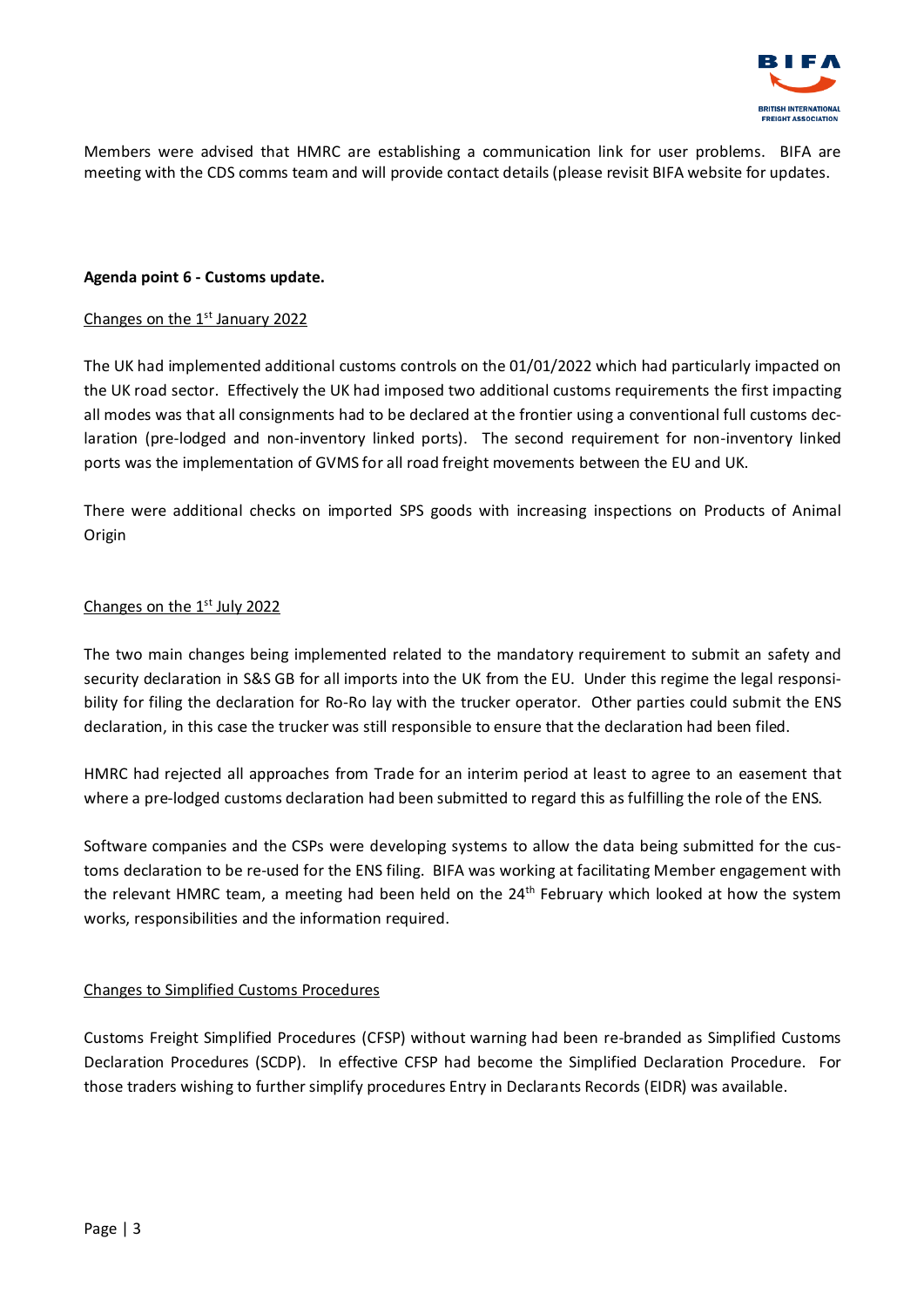

Members were advised that HMRC are establishing a communication link for user problems. BIFA are meeting with the CDS comms team and will provide contact details (please revisit BIFA website for updates.

### **Agenda point 6 - Customs update.**

### Changes on the  $1<sup>st</sup>$  January 2022

The UK had implemented additional customs controls on the 01/01/2022 which had particularly impacted on the UK road sector. Effectively the UK had imposed two additional customs requirements the first impacting all modes was that all consignments had to be declared at the frontier using a conventional full customs declaration (pre-lodged and non-inventory linked ports). The second requirement for non-inventory linked ports was the implementation of GVMS for all road freight movements between the EU and UK.

There were additional checks on imported SPS goods with increasing inspections on Products of Animal Origin

## Changes on the 1<sup>st</sup> July 2022

The two main changes being implemented related to the mandatory requirement to submit an safety and security declaration in S&S GB for all imports into the UK from the EU. Under this regime the legal responsibility for filing the declaration for Ro-Ro lay with the trucker operator. Other parties could submit the ENS declaration, in this case the trucker was still responsible to ensure that the declaration had been filed.

HMRC had rejected all approaches from Trade for an interim period at least to agree to an easement that where a pre-lodged customs declaration had been submitted to regard this as fulfilling the role of the ENS.

Software companies and the CSPs were developing systems to allow the data being submitted for the customs declaration to be re-used for the ENS filing. BIFA was working at facilitating Member engagement with the relevant HMRC team, a meeting had been held on the 24<sup>th</sup> February which looked at how the system works, responsibilities and the information required.

## Changes to Simplified Customs Procedures

Customs Freight Simplified Procedures (CFSP) without warning had been re-branded as Simplified Customs Declaration Procedures (SCDP). In effective CFSP had become the Simplified Declaration Procedure. For those traders wishing to further simplify procedures Entry in Declarants Records (EIDR) was available.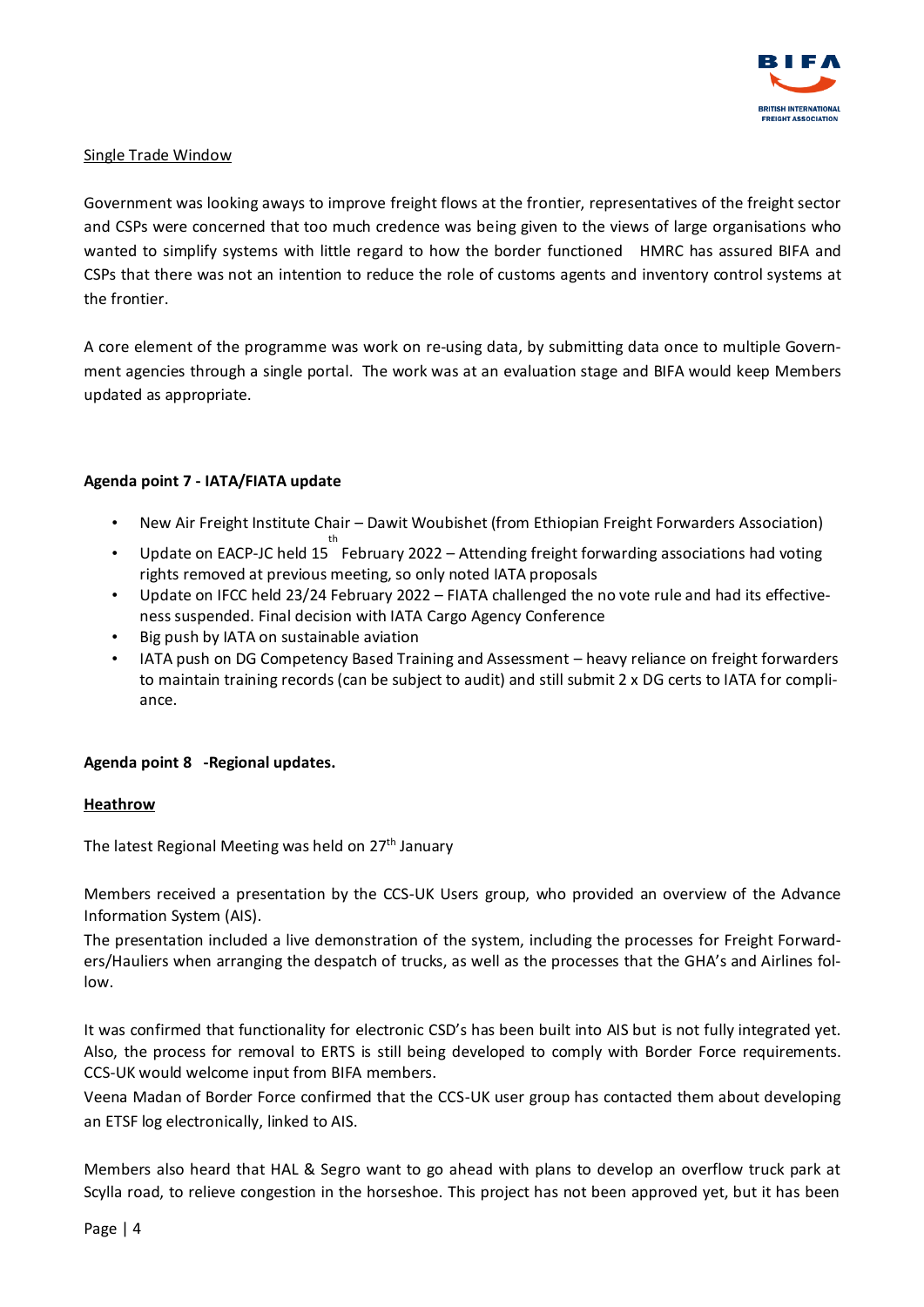

# Single Trade Window

Government was looking aways to improve freight flows at the frontier, representatives of the freight sector and CSPs were concerned that too much credence was being given to the views of large organisations who wanted to simplify systems with little regard to how the border functioned HMRC has assured BIFA and CSPs that there was not an intention to reduce the role of customs agents and inventory control systems at the frontier.

A core element of the programme was work on re-using data, by submitting data once to multiple Government agencies through a single portal. The work was at an evaluation stage and BIFA would keep Members updated as appropriate.

# **Agenda point 7 - IATA/FIATA update**

- New Air Freight Institute Chair Dawit Woubishet (from Ethiopian Freight Forwarders Association)
- Update on EACP-JC held 15 February 2022 Attending freight forwarding associations had voting rights removed at previous meeting, so only noted IATA proposals
- Update on IFCC held 23/24 February 2022 FIATA challenged the no vote rule and had its effectiveness suspended. Final decision with IATA Cargo Agency Conference
- Big push by IATA on sustainable aviation
- IATA push on DG Competency Based Training and Assessment heavy reliance on freight forwarders to maintain training records (can be subject to audit) and still submit 2 x DG certs to IATA for compliance.

## **Agenda point 8 -Regional updates.**

## **Heathrow**

The latest Regional Meeting was held on 27<sup>th</sup> January

Members received a presentation by the CCS-UK Users group, who provided an overview of the Advance Information System (AIS).

The presentation included a live demonstration of the system, including the processes for Freight Forwarders/Hauliers when arranging the despatch of trucks, as well as the processes that the GHA's and Airlines follow.

It was confirmed that functionality for electronic CSD's has been built into AIS but is not fully integrated yet. Also, the process for removal to ERTS is still being developed to comply with Border Force requirements. CCS-UK would welcome input from BIFA members.

Veena Madan of Border Force confirmed that the CCS-UK user group has contacted them about developing an ETSF log electronically, linked to AIS.

Members also heard that HAL & Segro want to go ahead with plans to develop an overflow truck park at Scylla road, to relieve congestion in the horseshoe. This project has not been approved yet, but it has been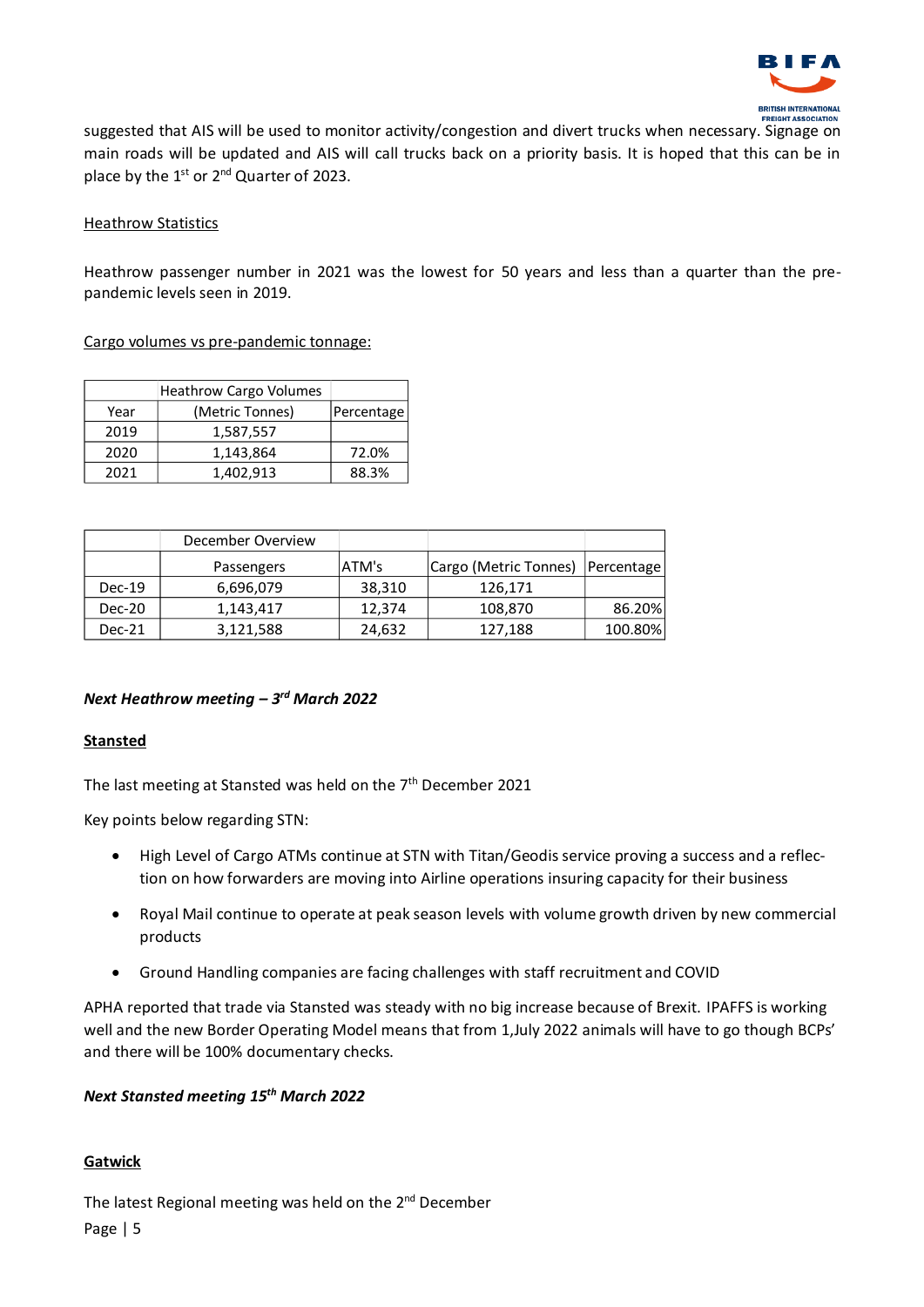

suggested that AIS will be used to monitor activity/congestion and divert trucks when necessary. Signage on main roads will be updated and AIS will call trucks back on a priority basis. It is hoped that this can be in place by the 1<sup>st</sup> or 2<sup>nd</sup> Quarter of 2023.

# Heathrow Statistics

Heathrow passenger number in 2021 was the lowest for 50 years and less than a quarter than the prepandemic levels seen in 2019.

Cargo volumes vs pre-pandemic tonnage:

|      | <b>Heathrow Cargo Volumes</b> |            |
|------|-------------------------------|------------|
| Year | (Metric Tonnes)               | Percentage |
| 2019 | 1,587,557                     |            |
| 2020 | 1,143,864                     | 72.0%      |
| 2021 | 1,402,913                     | 88.3%      |

|          | December Overview |        |                       |            |
|----------|-------------------|--------|-----------------------|------------|
|          | Passengers        | ATM's  | Cargo (Metric Tonnes) | Percentage |
| $Dec-19$ | 6,696,079         | 38,310 | 126,171               |            |
| Dec-20   | 1,143,417         | 12,374 | 108,870               | 86.20%     |
| Dec-21   | 3,121,588         | 24,632 | 127,188               | 100.80%    |

# *Next Heathrow meeting – 3 rd March 2022*

## **Stansted**

The last meeting at Stansted was held on the  $7<sup>th</sup>$  December 2021

Key points below regarding STN:

- High Level of Cargo ATMs continue at STN with Titan/Geodis service proving a success and a reflection on how forwarders are moving into Airline operations insuring capacity for their business
- Royal Mail continue to operate at peak season levels with volume growth driven by new commercial products
- Ground Handling companies are facing challenges with staff recruitment and COVID

APHA reported that trade via Stansted was steady with no big increase because of Brexit. IPAFFS is working well and the new Border Operating Model means that from 1,July 2022 animals will have to go though BCPs' and there will be 100% documentary checks.

## *Next Stansted meeting 15th March 2022*

# **Gatwick**

Page | 5 The latest Regional meeting was held on the 2<sup>nd</sup> December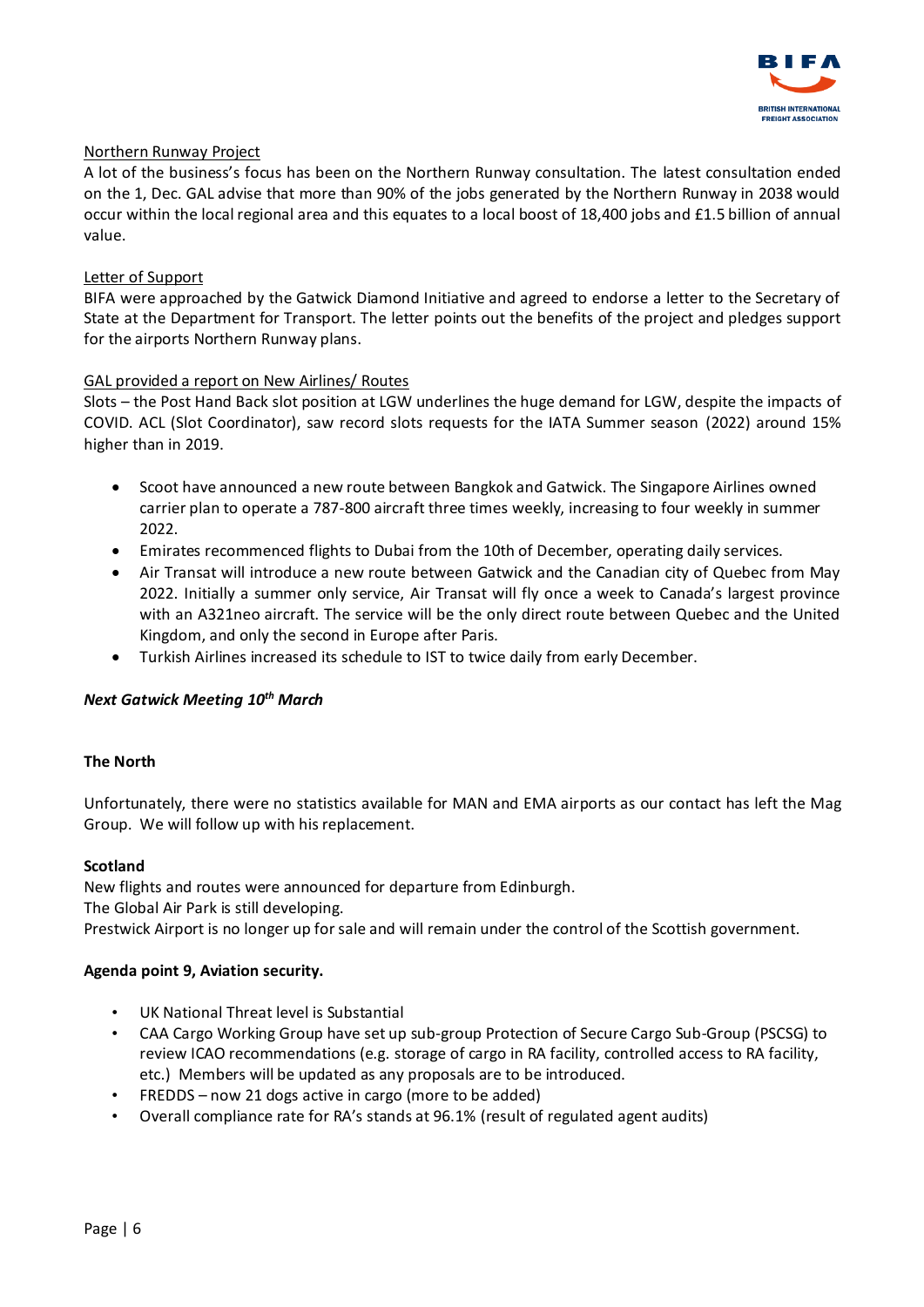

# Northern Runway Project

A lot of the business's focus has been on the Northern Runway consultation. The latest consultation ended on the 1, Dec. GAL advise that more than 90% of the jobs generated by the Northern Runway in 2038 would occur within the local regional area and this equates to a local boost of 18,400 jobs and £1.5 billion of annual value.

# Letter of Support

BIFA were approached by the Gatwick Diamond Initiative and agreed to endorse a letter to the Secretary of State at the Department for Transport. The letter points out the benefits of the project and pledges support for the airports Northern Runway plans.

# GAL provided a report on New Airlines/ Routes

Slots – the Post Hand Back slot position at LGW underlines the huge demand for LGW, despite the impacts of COVID. ACL (Slot Coordinator), saw record slots requests for the IATA Summer season (2022) around 15% higher than in 2019.

- Scoot have announced a new route between Bangkok and Gatwick. The Singapore Airlines owned carrier plan to operate a 787-800 aircraft three times weekly, increasing to four weekly in summer 2022.
- Emirates recommenced flights to Dubai from the 10th of December, operating daily services.
- Air Transat will introduce a new route between Gatwick and the Canadian city of Quebec from May 2022. Initially a summer only service, Air Transat will fly once a week to Canada's largest province with an A321neo aircraft. The service will be the only direct route between Quebec and the United Kingdom, and only the second in Europe after Paris.
- Turkish Airlines increased its schedule to IST to twice daily from early December.

## *Next Gatwick Meeting 10th March*

## **The North**

Unfortunately, there were no statistics available for MAN and EMA airports as our contact has left the Mag Group. We will follow up with his replacement.

## **Scotland**

New flights and routes were announced for departure from Edinburgh. The Global Air Park is still developing. Prestwick Airport is no longer up for sale and will remain under the control of the Scottish government.

## **Agenda point 9, Aviation security.**

- UK National Threat level is Substantial
- CAA Cargo Working Group have set up sub-group Protection of Secure Cargo Sub-Group (PSCSG) to review ICAO recommendations (e.g. storage of cargo in RA facility, controlled access to RA facility, etc.) Members will be updated as any proposals are to be introduced.
- FREDDS now 21 dogs active in cargo (more to be added)
- Overall compliance rate for RA's stands at 96.1% (result of regulated agent audits)